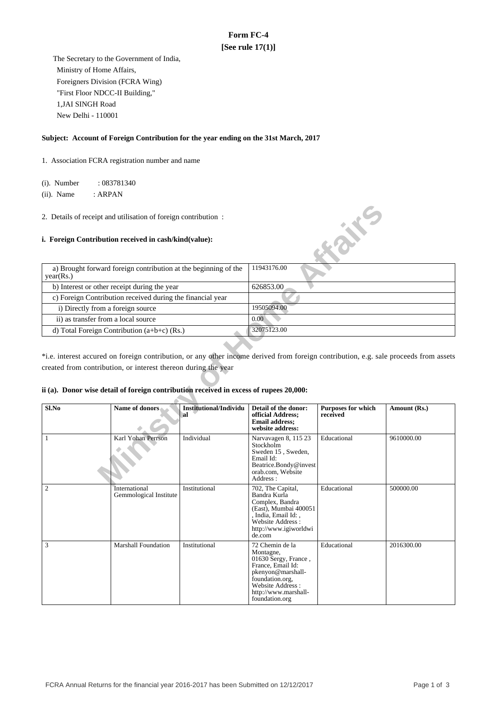# **Form FC-4 [See rule 17(1)]**

 The Secretary to the Government of India, Ministry of Home Affairs, Foreigners Division (FCRA Wing) "First Floor NDCC-II Building," 1,JAI SINGH Road New Delhi - 110001

#### **Subject: Account of Foreign Contribution for the year ending on the 31st March, 2017**

1. Association FCRA registration number and name

(i). Number : 083781340

(ii). Name : ARPAN

#### **i. Foreign Contribution received in cash/kind(value):**

| a) Brought forward foreign contribution at the beginning of the<br>year(Rs.) | 11943176.00 |
|------------------------------------------------------------------------------|-------------|
| b) Interest or other receipt during the year                                 | 626853.00   |
| c) Foreign Contribution received during the financial year                   |             |
| i) Directly from a foreign source                                            | 19505094.00 |
| ii) as transfer from a local source                                          | 0.00        |
| d) Total Foreign Contribution $(a+b+c)$ (Rs.)                                | 32075123.00 |

#### **ii (a). Donor wise detail of foreign contribution received in excess of rupees 20,000:**

|            | 2. Details of receipt and utilisation of foreign contribution:<br>i. Foreign Contribution received in cash/kind(value):                                                                                                                                                                           |                                     |                                                                                                                                                                                 | <b>Kaik</b> E                         |              |
|------------|---------------------------------------------------------------------------------------------------------------------------------------------------------------------------------------------------------------------------------------------------------------------------------------------------|-------------------------------------|---------------------------------------------------------------------------------------------------------------------------------------------------------------------------------|---------------------------------------|--------------|
| year(Rs.)  | a) Brought forward foreign contribution at the beginning of the                                                                                                                                                                                                                                   |                                     | 11943176.00                                                                                                                                                                     |                                       |              |
|            | b) Interest or other receipt during the year                                                                                                                                                                                                                                                      |                                     | 626853.00                                                                                                                                                                       |                                       |              |
|            | c) Foreign Contribution received during the financial year                                                                                                                                                                                                                                        |                                     |                                                                                                                                                                                 |                                       |              |
|            | i) Directly from a foreign source                                                                                                                                                                                                                                                                 |                                     | 19505094.00                                                                                                                                                                     |                                       |              |
|            | ii) as transfer from a local source                                                                                                                                                                                                                                                               |                                     | 0.00                                                                                                                                                                            |                                       |              |
|            | d) Total Foreign Contribution (a+b+c) (Rs.)                                                                                                                                                                                                                                                       |                                     | 32075123.00                                                                                                                                                                     |                                       |              |
|            | *i.e. interest accured on foreign contribution, or any other income derived from foreign contribution, e.g. sale proceeds from assets<br>created from contribution, or interest thereon during the year<br>ii (a). Donor wise detail of foreign contribution received in excess of rupees 20,000: |                                     |                                                                                                                                                                                 |                                       |              |
| Sl.No      | Name of donors                                                                                                                                                                                                                                                                                    | <b>Institutional/Individu</b><br>al | Detail of the donor:<br>official Address;<br><b>Email address;</b><br>website address:                                                                                          | <b>Purposes for which</b><br>received | Amount (Rs.) |
| 1          | Karl Yohan Perrson                                                                                                                                                                                                                                                                                | Individual                          | Narvavagen 8, 115 23<br>Stockholm<br>Sweden 15, Sweden,<br>Email Id:<br>Beatrice.Bondy@invest<br>orab.com. Website<br>Address:                                                  | Educational                           | 9610000.00   |
| $\sqrt{2}$ | International<br>Gemmological Institute                                                                                                                                                                                                                                                           | Institutional                       | 702, The Capital,<br>Bandra Kurla<br>Complex, Bandra<br>(East), Mumbai 400051<br>, India, Email Id:,<br>Website Address:<br>http://www.igiworldwi<br>de.com                     | Educational                           | 500000.00    |
| 3          | <b>Marshall Foundation</b>                                                                                                                                                                                                                                                                        | Institutional                       | 72 Chemin de la<br>Montagne,<br>01630 Sergy, France,<br>France, Email Id:<br>pkenyon@marshall-<br>foundation.org,<br>Website Address:<br>http://www.marshall-<br>foundation.org | Educational                           | 2016300.00   |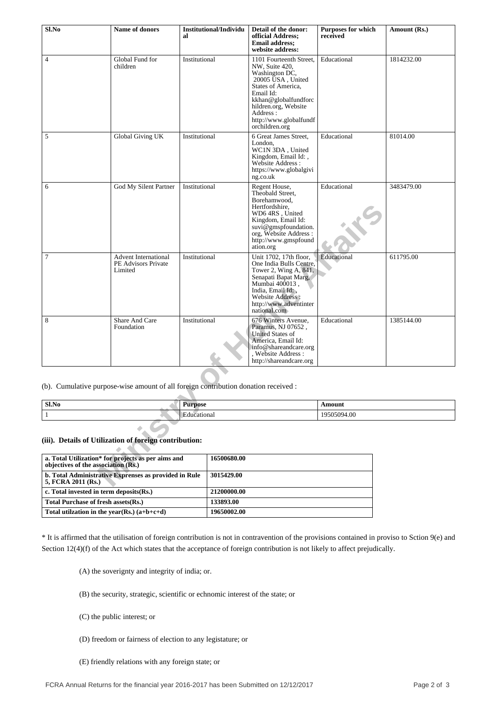| Sl.No                                                  | <b>Name of donors</b>                                                               | al             | <b>Institutional/Individu</b> | Detail of the donor:<br>official Address:<br><b>Email address;</b><br>website address:                                                                                                                                      | <b>Purposes for which</b><br>received | Amount (Rs.) |
|--------------------------------------------------------|-------------------------------------------------------------------------------------|----------------|-------------------------------|-----------------------------------------------------------------------------------------------------------------------------------------------------------------------------------------------------------------------------|---------------------------------------|--------------|
| $\overline{4}$                                         | Global Fund for<br>children                                                         | Institutional  |                               | 1101 Fourteenth Street,<br>NW, Suite 420,<br>Washington DC,<br>20005 USA, United<br>States of America,<br>Email Id:<br>kkhan@globalfundforc<br>hildren.org, Website<br>Address:<br>http://www.globalfundf<br>orchildren.org | Educational                           | 1814232.00   |
| 5                                                      | Global Giving UK                                                                    | Institutional  |                               | 6 Great James Street,<br>London,<br>WC1N 3DA, United<br>Kingdom, Email Id:,<br>Website Address :<br>https://www.globalgivi<br>ng.co.uk                                                                                      | Educational                           | 81014.00     |
| 6                                                      | God My Silent Partner                                                               | Institutional  |                               | Regent House,<br>Theobald Street,<br>Borehamwood,<br>Hertfordshire,<br>WD6 4RS, United<br>Kingdom, Email Id:<br>suvi@gmspfoundation.<br>org, Website Address :<br>http://www.gmspfound<br>ation.org                         | Educational                           | 3483479.00   |
| 7                                                      | <b>Advent International</b><br>PE Advisors Private<br>Limited                       | Institutional  |                               | Unit 1702, 17th floor,<br>One India Bulls Centre,<br>Tower 2, Wing A, 841,<br>Senapati Bapat Marg,<br>Mumbai 400013,<br>India, Email Id:,<br>Website Address :<br>http://www.adventinter<br>national.com                    | Educational                           | 611795.00    |
| $\,8\,$                                                | Share And Care<br>Foundation                                                        | Institutional  |                               | 676 Winters Avenue,<br>Paramus, NJ 07652,<br><b>United States of</b><br>America, Email Id:<br>info@shareandcare.org<br>Website Address:<br>http://shareandcare.org                                                          | Educational                           | 1385144.00   |
|                                                        | (b). Cumulative purpose-wise amount of all foreign contribution donation received : |                |                               |                                                                                                                                                                                                                             |                                       |              |
| Sl.No                                                  |                                                                                     | <b>Purpose</b> |                               |                                                                                                                                                                                                                             | Amount                                |              |
| 1                                                      |                                                                                     | Educational    |                               |                                                                                                                                                                                                                             | 19505094.00                           |              |
| (iii). Details of Utilization of foreign contribution: |                                                                                     |                |                               |                                                                                                                                                                                                                             |                                       |              |
| objectives of the association (Rs.)                    | a. Total Utilization* for projects as per aims and                                  |                | 16500680.00                   |                                                                                                                                                                                                                             |                                       |              |
| 5, FCRA 2011 (Rs.)                                     | b. Total Administrative Exprenses as provided in Rule                               |                | 3015429.00                    |                                                                                                                                                                                                                             |                                       |              |

| Sl.No | т.<br><b>000</b><br>. | moun               |
|-------|-----------------------|--------------------|
|       | ona<br>æ              | $\sim$<br>w<br>…∪ւ |

## **(iii). Details of Utilization of foreign contribution:**

| a. Total Utilization* for projects as per aims and<br>objectives of the association (Rs.) | 16500680.00 |
|-------------------------------------------------------------------------------------------|-------------|
| b. Total Administrative Exprenses as provided in Rule<br>5, FCRA 2011 (Rs.)               | 3015429.00  |
| c. Total invested in term deposits(Rs.)                                                   | 21200000.00 |
| Total Purchase of fresh assets (Rs.)                                                      | 133893.00   |
| Total utilization in the year(Rs.) $(a+b+c+d)$                                            | 19650002.00 |

\* It is affirmed that the utilisation of foreign contribution is not in contravention of the provisions contained in proviso to Sction 9(e) and Section 12(4)(f) of the Act which states that the acceptance of foreign contribution is not likely to affect prejudically.

(A) the soverignty and integrity of india; or.

(B) the security, strategic, scientific or echnomic interest of the state; or

(C) the public interest; or

- (D) freedom or fairness of election to any legistature; or
- (E) friendly relations with any foreign state; or